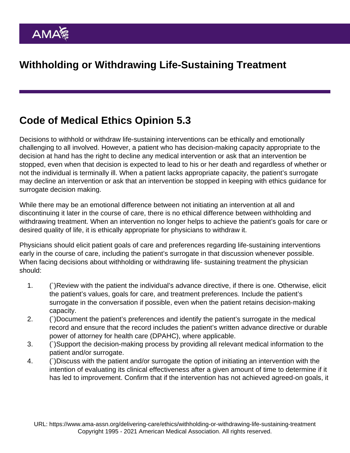## Code of Medical Ethics Opinion 5.3

Decisions to withhold or withdraw life-sustaining interventions can be ethically and emotionally challenging to all involved. However, a patient who has decision-making capacity appropriate to the decision at hand has the right to decline any medical intervention or ask that an intervention be stopped, even when that decision is expected to lead to his or her death and regardless of whether or not the individual is terminally ill. When a patient lacks appropriate capacity, the patient's surrogate may decline an intervention or ask that an intervention be stopped in keeping with ethics guidance for surrogate decision making.

While there may be an emotional difference between not initiating an intervention at all and discontinuing it later in the course of care, there is no ethical difference between withholding and withdrawing treatment. When an intervention no longer helps to achieve the patient's goals for care or desired quality of life, it is ethically appropriate for physicians to withdraw it.

Physicians should elicit patient goals of care and preferences regarding life-sustaining interventions early in the course of care, including the patient's surrogate in that discussion whenever possible. When facing decisions about withholding or withdrawing life- sustaining treatment the physician should:

- 1. (`)Review with the patient the individual's advance directive, if there is one. Otherwise, elicit the patient's values, goals for care, and treatment preferences. Include the patient's surrogate in the conversation if possible, even when the patient retains decision-making capacity.
- 2. (`)Document the patient's preferences and identify the patient's surrogate in the medical record and ensure that the record includes the patient's written advance directive or durable power of attorney for health care (DPAHC), where applicable.
- 3. (`)Support the decision-making process by providing all relevant medical information to the patient and/or surrogate.
- 4. (`)Discuss with the patient and/or surrogate the option of initiating an intervention with the intention of evaluating its clinical effectiveness after a given amount of time to determine if it has led to improvement. Confirm that if the intervention has not achieved agreed-on goals, it